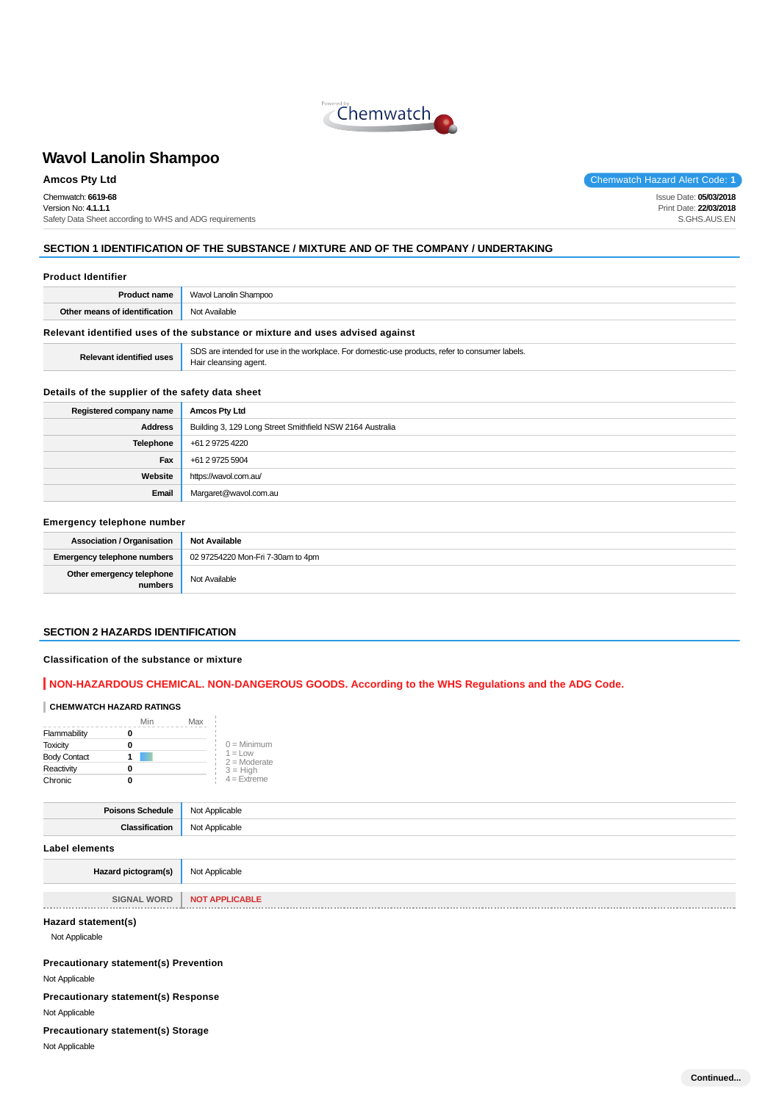

Chemwatch: **6619-68** Version No: **4.1.1.1** Safety Data Sheet according to WHS and ADG requirements

**Amcos Pty Ltd** Chemwatch Hazard Alert Code: **1** 

Issue Date: **05/03/2018** Print Date: **22/03/2018** S.GHS.AUS.EN

### **SECTION 1 IDENTIFICATION OF THE SUBSTANCE / MIXTURE AND OF THE COMPANY / UNDERTAKING**

| <b>Product Identifier</b> |  |  |  |  |
|---------------------------|--|--|--|--|
|                           |  |  |  |  |

|                                                    | <b>Product name</b>   Wavol Lanolin Shampoo                                   |
|----------------------------------------------------|-------------------------------------------------------------------------------|
| <b>Other means of identification</b> Not Available |                                                                               |
|                                                    | Relevant identified uses of the substance or mixture and uses advised against |

**Relevant identified uses** SDS are intended for use in the workplace. For domestic-use products, refer to consumer labels. Hair cleansing agent.

#### **Details of the supplier of the safety data sheet**

| Registered company name | <b>Amcos Pty Ltd</b>                                      |
|-------------------------|-----------------------------------------------------------|
| <b>Address</b>          | Building 3, 129 Long Street Smithfield NSW 2164 Australia |
| <b>Telephone</b>        | +61 2 9725 4220                                           |
| Fax                     | +61 2 9725 5904                                           |
| Website                 | https://wavol.com.au/                                     |
| Email                   | Margaret@wavol.com.au                                     |

### **Emergency telephone number**

| <b>Association / Organisation</b>    | <b>Not Available</b>              |
|--------------------------------------|-----------------------------------|
| <b>Emergency telephone numbers</b>   | 02 97254220 Mon-Fri 7-30am to 4pm |
| Other emergency telephone<br>numbers | Not Available                     |

#### **SECTION 2 HAZARDS IDENTIFICATION**

#### **Classification of the substance or mixture**

### **NON-HAZARDOUS CHEMICAL. NON-DANGEROUS GOODS. According to the WHS Regulations and the ADG Code.**

### **CHEMWATCH HAZARD RATINGS**

|                     | Min | Max                          |
|---------------------|-----|------------------------------|
| Flammability        |     |                              |
| <b>Toxicity</b>     |     | $0 =$ Minimum                |
| <b>Body Contact</b> |     | $1 = 1$ OW<br>$2 =$ Moderate |
| Reactivity          |     | $3 = High$                   |
| Chronic             |     | $4 =$ Extreme                |

| <b>Poisons Schedule</b> Not Applicable |                |
|----------------------------------------|----------------|
| Classification                         | Not Applicable |
| <b>Label elements</b>                  |                |
| Hazard pictogram(s)                    | Not Applicable |

| <b>SIGNAL WORD</b> | <b>NOT APPLICABL'</b> |
|--------------------|-----------------------|
|                    |                       |

### **Hazard statement(s)**

Not Applicable

**Precautionary statement(s) Prevention**

Not Applicable

**Precautionary statement(s) Response** Not Applicable

#### **Precautionary statement(s) Storage**

Not Applicable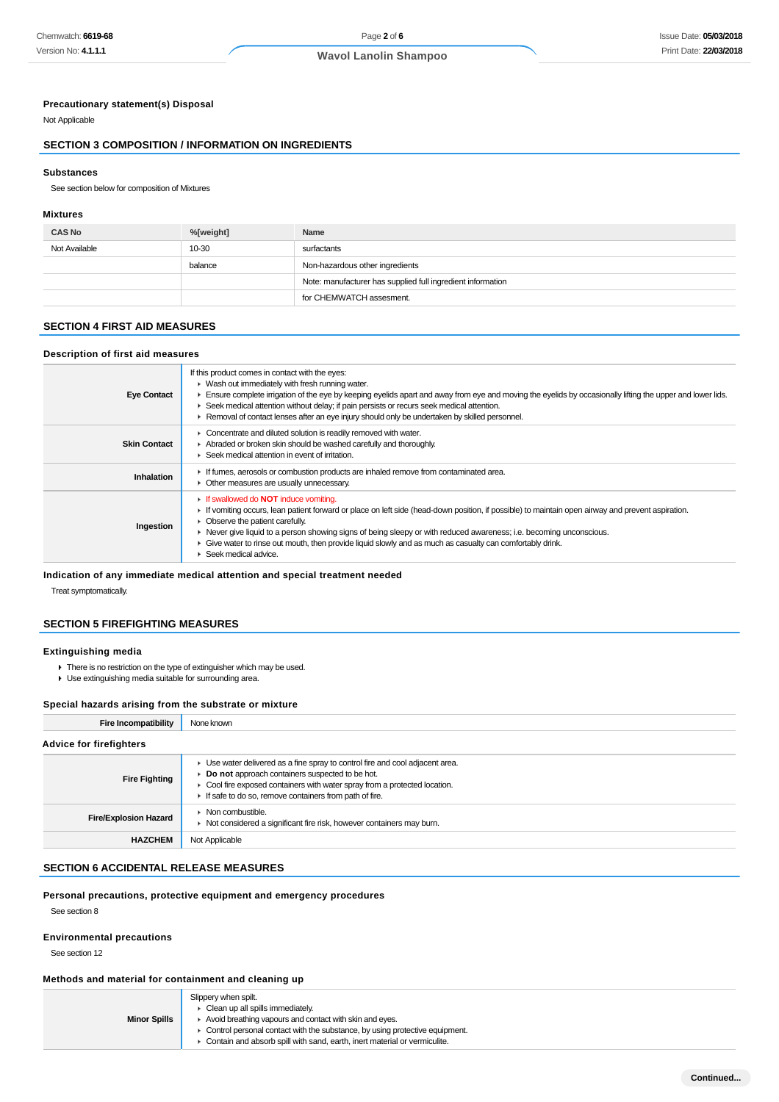### **Precautionary statement(s) Disposal**

Not Applicable

### **SECTION 3 COMPOSITION / INFORMATION ON INGREDIENTS**

#### **Substances**

See section below for composition of Mixtures

#### **Mixtures**

| <b>CAS No</b> | %[weight] | <b>Name</b>                                                 |
|---------------|-----------|-------------------------------------------------------------|
| Not Available | 10-30     | surfactants                                                 |
|               | balance   | Non-hazardous other ingredients                             |
|               |           | Note: manufacturer has supplied full ingredient information |
|               |           | for CHEMWATCH assesment.                                    |

### **SECTION 4 FIRST AID MEASURES**

### **Description of first aid measures**

| <b>Eye Contact</b>  | If this product comes in contact with the eyes:<br>$\blacktriangleright$ Wash out immediately with fresh running water.<br>Ensure complete irrigation of the eye by keeping eyelids apart and away from eye and moving the eyelids by occasionally lifting the upper and lower lids.<br>► Seek medical attention without delay; if pain persists or recurs seek medical attention.<br>► Removal of contact lenses after an eye injury should only be undertaken by skilled personnel.            |
|---------------------|--------------------------------------------------------------------------------------------------------------------------------------------------------------------------------------------------------------------------------------------------------------------------------------------------------------------------------------------------------------------------------------------------------------------------------------------------------------------------------------------------|
| <b>Skin Contact</b> | • Concentrate and diluted solution is readily removed with water.<br>Abraded or broken skin should be washed carefully and thoroughly.<br>$\blacktriangleright$ Seek medical attention in event of irritation.                                                                                                                                                                                                                                                                                   |
| Inhalation          | If fumes, aerosols or combustion products are inhaled remove from contaminated area.<br>• Other measures are usually unnecessary.                                                                                                                                                                                                                                                                                                                                                                |
| Ingestion           | <b>If swallowed do NOT induce vomiting.</b><br>If vomiting occurs, lean patient forward or place on left side (head-down position, if possible) to maintain open airway and prevent aspiration.<br>• Observe the patient carefully.<br>► Never give liquid to a person showing signs of being sleepy or with reduced awareness; i.e. becoming unconscious.<br>• Give water to rinse out mouth, then provide liquid slowly and as much as casualty can comfortably drink.<br>Seek medical advice. |

## **Indication of any immediate medical attention and special treatment needed**

Treat symptomatically.

### **SECTION 5 FIREFIGHTING MEASURES**

### **Extinguishing media**

- There is no restriction on the type of extinguisher which may be used.
- Use extinguishing media suitable for surrounding area.

#### **Special hazards arising from the substrate or mixture**

| <b>Fire Incompatibility</b>    | None known                                                                                                                                                                                                                                                               |
|--------------------------------|--------------------------------------------------------------------------------------------------------------------------------------------------------------------------------------------------------------------------------------------------------------------------|
| <b>Advice for firefighters</b> |                                                                                                                                                                                                                                                                          |
| <b>Fire Fighting</b>           | • Use water delivered as a fine spray to control fire and cool adjacent area.<br>Do not approach containers suspected to be hot.<br>• Cool fire exposed containers with water spray from a protected location.<br>If safe to do so, remove containers from path of fire. |
| <b>Fire/Explosion Hazard</b>   | $\triangleright$ Non combustible.<br>▶ Not considered a significant fire risk, however containers may burn.                                                                                                                                                              |
| <b>HAZCHEM</b>                 | Not Applicable                                                                                                                                                                                                                                                           |

### **SECTION 6 ACCIDENTAL RELEASE MEASURES**

#### **Personal precautions, protective equipment and emergency procedures**

See section 8

### **Environmental precautions**

See section 12

### **Methods and material for containment and cleaning up**

|                     | Slippery when spilt.                                                          |
|---------------------|-------------------------------------------------------------------------------|
|                     | $\triangleright$ Clean up all spills immediately.                             |
| <b>Minor Spills</b> | Avoid breathing vapours and contact with skin and eyes.                       |
|                     | ► Control personal contact with the substance, by using protective equipment. |
|                     | • Contain and absorb spill with sand, earth, inert material or vermiculite.   |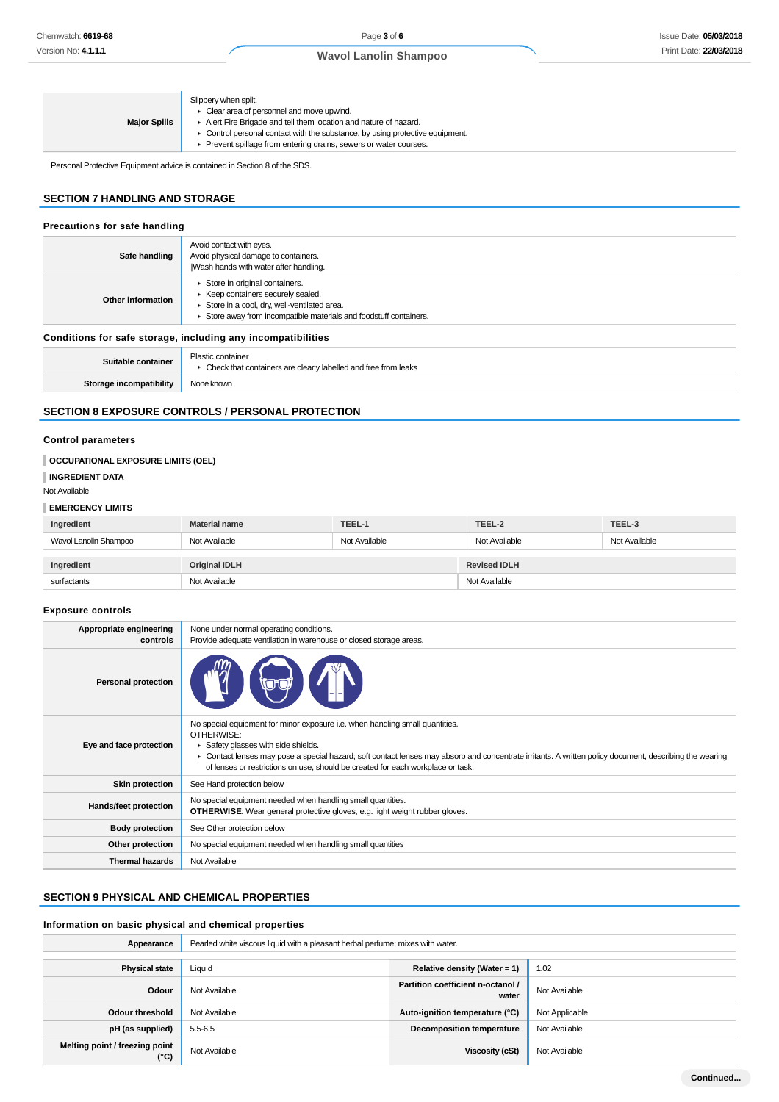| Slippery when spilt.<br>• Clear area of personnel and move upwind.<br>Alert Fire Brigade and tell them location and nature of hazard.<br><b>Major Spills</b><br>• Control personal contact with the substance, by using protective equipment.<br>▶ Prevent spillage from entering drains, sewers or water courses. |
|--------------------------------------------------------------------------------------------------------------------------------------------------------------------------------------------------------------------------------------------------------------------------------------------------------------------|
|--------------------------------------------------------------------------------------------------------------------------------------------------------------------------------------------------------------------------------------------------------------------------------------------------------------------|

Personal Protective Equipment advice is contained in Section 8 of the SDS.

### **SECTION 7 HANDLING AND STORAGE**

| Precautions for safe handling                                |                                                                                                                                                                                        |  |
|--------------------------------------------------------------|----------------------------------------------------------------------------------------------------------------------------------------------------------------------------------------|--|
| Safe handling                                                | Avoid contact with eyes.<br>Avoid physical damage to containers.<br>Wash hands with water after handling.                                                                              |  |
| Other information                                            | Store in original containers.<br>▶ Keep containers securely sealed.<br>Store in a cool, dry, well-ventilated area.<br>Store away from incompatible materials and foodstuff containers. |  |
| Conditions for safe storage, including any incompatibilities |                                                                                                                                                                                        |  |
| Suitable container                                           | Plastic container<br>• Check that containers are clearly labelled and free from leaks                                                                                                  |  |
| Storage incompatibility                                      | None known                                                                                                                                                                             |  |

### **SECTION 8 EXPOSURE CONTROLS / PERSONAL PROTECTION**

#### **Control parameters**

| OCCUPATIONAL EXPOSURE LIMITS (OEL) |                      |                                                 |                     |        |
|------------------------------------|----------------------|-------------------------------------------------|---------------------|--------|
| <b>INGREDIENT DATA</b>             |                      |                                                 |                     |        |
| Not Available                      |                      |                                                 |                     |        |
| <b>EMERGENCY LIMITS</b>            |                      |                                                 |                     |        |
| Ingredient                         | <b>Material name</b> | TEEL-1                                          | TEEL-2              | TEEL-3 |
| Wavol Lanolin Shampoo              | Not Available        | Not Available<br>Not Available<br>Not Available |                     |        |
|                                    |                      |                                                 |                     |        |
| Ingredient                         | <b>Original IDLH</b> |                                                 | <b>Revised IDLH</b> |        |
| surfactants                        | Not Available        |                                                 | Not Available       |        |
|                                    |                      |                                                 |                     |        |
| <b>Exposure controls</b>           |                      |                                                 |                     |        |

### **Appropriate engineering controls** None under normal operating conditions. Provide adequate ventilation in warehouse or closed storage areas. **Personal protection Eye and face protection** No special equipment for minor exposure i.e. when handling small quantities. OTHERWISE: **B** Safety glasses with side shields. ▶ Contact lenses may pose a special hazard; soft contact lenses may absorb and concentrate irritants. A written policy document, describing the wearing of lenses or restrictions on use, should be created for each workplace or task. **Skin protection** See Hand protection below **Hands/feet protection** No special equipment needed when handling small quantities. **OTHERWISE**: Wear general protective gloves, e.g. light weight rubber gloves. **Body protection** See Other protection below **Other protection** No special equipment needed when handling small quantities **Thermal hazards** Not Available

### **SECTION 9 PHYSICAL AND CHEMICAL PROPERTIES**

### **Information on basic physical and chemical properties**

| Appearance                                      | Pearled white viscous liquid with a pleasant herbal perfume; mixes with water. |                                            |                |
|-------------------------------------------------|--------------------------------------------------------------------------------|--------------------------------------------|----------------|
|                                                 |                                                                                |                                            |                |
| <b>Physical state</b>                           | Liquid                                                                         | Relative density (Water = 1)               | 1.02           |
| Odour                                           | Not Available                                                                  | Partition coefficient n-octanol /<br>water | Not Available  |
| <b>Odour threshold</b>                          | Not Available                                                                  | Auto-ignition temperature (°C)             | Not Applicable |
| pH (as supplied)                                | $5.5 - 6.5$                                                                    | <b>Decomposition temperature</b>           | Not Available  |
| Melting point / freezing point<br>$(^{\circ}C)$ | Not Available                                                                  | Viscosity (cSt)                            | Not Available  |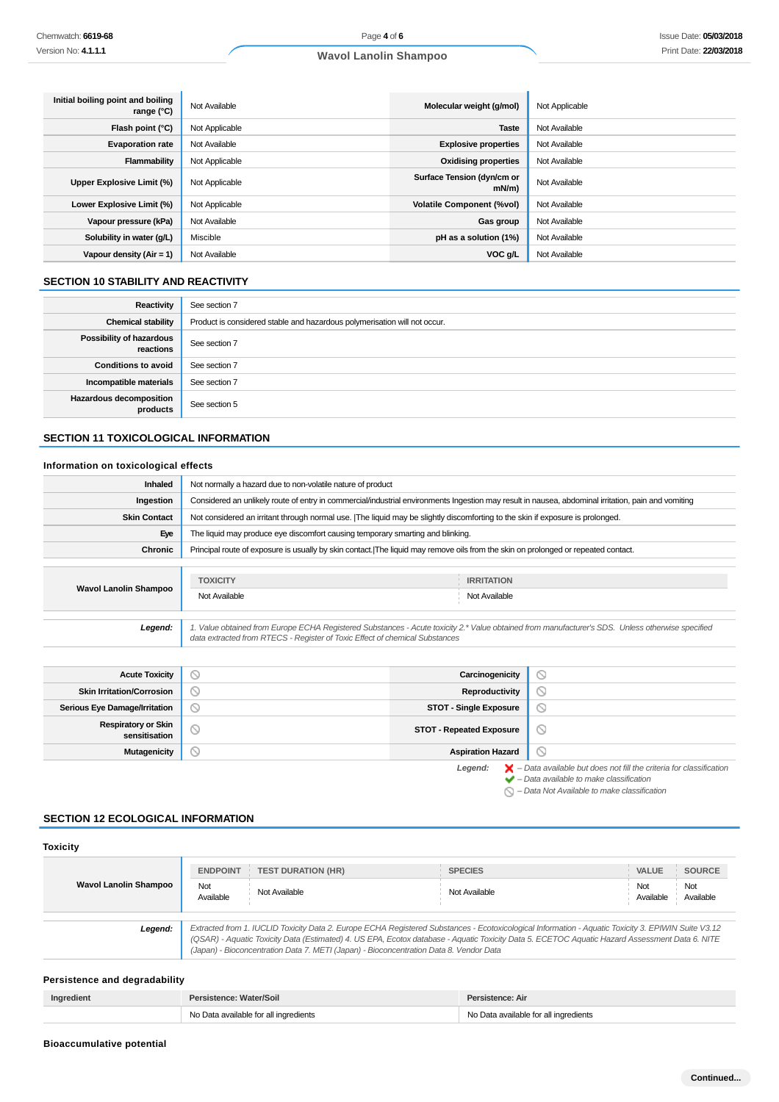| Initial boiling point and boiling<br>range (°C) | Not Available  | Molecular weight (g/mol)               | Not Applicable |
|-------------------------------------------------|----------------|----------------------------------------|----------------|
| Flash point (°C)                                | Not Applicable | <b>Taste</b>                           | Not Available  |
| <b>Evaporation rate</b>                         | Not Available  | <b>Explosive properties</b>            | Not Available  |
| Flammability                                    | Not Applicable | <b>Oxidising properties</b>            | Not Available  |
| Upper Explosive Limit (%)                       | Not Applicable | Surface Tension (dyn/cm or<br>$mN/m$ ) | Not Available  |
| Lower Explosive Limit (%)                       | Not Applicable | <b>Volatile Component (%vol)</b>       | Not Available  |
| Vapour pressure (kPa)                           | Not Available  | Gas group                              | Not Available  |
| Solubility in water (g/L)                       | Miscible       | pH as a solution (1%)                  | Not Available  |
| Vapour density $(Air = 1)$                      | Not Available  | VOC g/L                                | Not Available  |

### **SECTION 10 STABILITY AND REACTIVITY**

| Reactivity                                 | See section 7                                                             |
|--------------------------------------------|---------------------------------------------------------------------------|
| <b>Chemical stability</b>                  | Product is considered stable and hazardous polymerisation will not occur. |
| Possibility of hazardous<br>reactions      | See section 7                                                             |
| <b>Conditions to avoid</b>                 | See section 7                                                             |
| Incompatible materials                     | See section 7                                                             |
| <b>Hazardous decomposition</b><br>products | See section 5                                                             |

### **SECTION 11 TOXICOLOGICAL INFORMATION**

#### **Information on toxicological effects**

| <b>Inhaled</b>               | Not normally a hazard due to non-volatile nature of product                                                                        |                                                                                                                                                     |  |  |
|------------------------------|------------------------------------------------------------------------------------------------------------------------------------|-----------------------------------------------------------------------------------------------------------------------------------------------------|--|--|
| Ingestion                    |                                                                                                                                    | Considered an unlikely route of entry in commercial/industrial environments Ingestion may result in nausea, abdominal irritation, pain and vomiting |  |  |
| <b>Skin Contact</b>          |                                                                                                                                    | Not considered an irritant through normal use. The liquid may be slightly discomforting to the skin if exposure is prolonged.                       |  |  |
| Eye                          |                                                                                                                                    | The liquid may produce eye discomfort causing temporary smarting and blinking.                                                                      |  |  |
| Chronic                      | Principal route of exposure is usually by skin contact. The liquid may remove oils from the skin on prolonged or repeated contact. |                                                                                                                                                     |  |  |
|                              |                                                                                                                                    |                                                                                                                                                     |  |  |
| <b>Wavol Lanolin Shampoo</b> | <b>TOXICITY</b>                                                                                                                    | <b>IRRITATION</b>                                                                                                                                   |  |  |
|                              | Not Available                                                                                                                      | Not Available                                                                                                                                       |  |  |
|                              |                                                                                                                                    |                                                                                                                                                     |  |  |
| Legend:                      | data extracted from RTECS - Register of Toxic Effect of chemical Substances                                                        | 1. Value obtained from Europe ECHA Registered Substances - Acute toxicity 2.* Value obtained from manufacturer's SDS. Unless otherwise specified    |  |  |

**Acute Toxicity Carcinogenicity**  $\circledcirc$ **Skin Irritation/Corrosion Reproductivity**  $\circ$ **Serious Eye Damage/Irritation STOT - Single Exposure**  $\circledcirc$ **Respiratory or Skin STOT - Repeated Exposure**  $\odot$ 

**Mutagenicity CONSUMING THE CONSUMING TENS** Aspiration Hazard

Legend:  $\blacktriangleright$  - Data available but does not fill the criteria for classification<br>  $\blacktriangleright$  - Data available to make classification

 $\bigcirc$  – Data Not Available to make classification

 $\odot$ 

### **SECTION 12 ECOLOGICAL INFORMATION**

| <b>Toxicity</b>                                                                                                                                                                                                                                                                                                                                                                                            |                  |                           |                |                  |                  |
|------------------------------------------------------------------------------------------------------------------------------------------------------------------------------------------------------------------------------------------------------------------------------------------------------------------------------------------------------------------------------------------------------------|------------------|---------------------------|----------------|------------------|------------------|
|                                                                                                                                                                                                                                                                                                                                                                                                            | <b>ENDPOINT</b>  | <b>TEST DURATION (HR)</b> | <b>SPECIES</b> | <b>VALUE</b>     | <b>SOURCE</b>    |
| <b>Wavol Lanolin Shampoo</b>                                                                                                                                                                                                                                                                                                                                                                               | Not<br>Available | Not Available             | Not Available  | Not<br>Available | Not<br>Available |
| Extracted from 1. IUCLID Toxicity Data 2. Europe ECHA Registered Substances - Ecotoxicological Information - Aquatic Toxicity 3. EPIWIN Suite V3.12<br>Legend:<br>(QSAR) - Aquatic Toxicity Data (Estimated) 4. US EPA, Ecotox database - Aquatic Toxicity Data 5. ECETOC Aquatic Hazard Assessment Data 6. NITE<br>(Japan) - Bioconcentration Data 7. METI (Japan) - Bioconcentration Data 8. Vendor Data |                  |                           |                |                  |                  |

### **Persistence and degradability**

| Ingredient | Persistence: Water/Soil               | Persistence: Air                      |
|------------|---------------------------------------|---------------------------------------|
|            | No Data available for all ingredients | No Data available for all ingredients |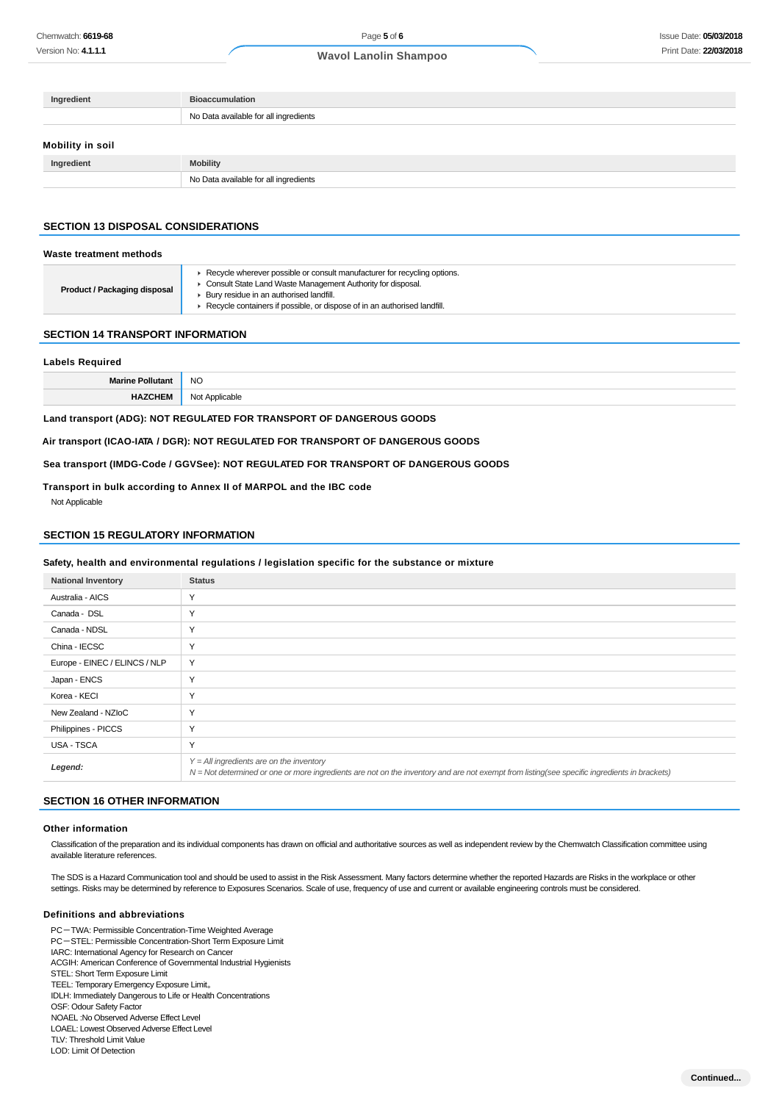| Ingredient       | <b>Bioaccumulation</b>                |
|------------------|---------------------------------------|
|                  | No Data available for all ingredients |
| Mobility in soil |                                       |
| Ingredient       | <b>Mobility</b>                       |
|                  | No Data available for all ingredients |

### **SECTION 13 DISPOSAL CONSIDERATIONS**

#### **Waste treatment methods**

|  | <b>Product / Packaging disposal</b> | ▶ Recycle wherever possible or consult manufacturer for recycling options.<br>Consult State Land Waste Management Authority for disposal.<br>▶ Bury residue in an authorised landfill.<br>▶ Recycle containers if possible, or dispose of in an authorised landfill. |
|--|-------------------------------------|----------------------------------------------------------------------------------------------------------------------------------------------------------------------------------------------------------------------------------------------------------------------|
|--|-------------------------------------|----------------------------------------------------------------------------------------------------------------------------------------------------------------------------------------------------------------------------------------------------------------------|

#### **SECTION 14 TRANSPORT INFORMATION**

#### **Labels Required**

| <b>NO</b>      |
|----------------|
| $n\sim$<br>___ |

**Land transport (ADG): NOT REGULATED FOR TRANSPORT OF DANGEROUS GOODS**

**Air transport (ICAO-IATA / DGR): NOT REGULATED FOR TRANSPORT OF DANGEROUS GOODS**

**Sea transport (IMDG-Code / GGVSee): NOT REGULATED FOR TRANSPORT OF DANGEROUS GOODS**

#### **Transport in bulk according to Annex II of MARPOL and the IBC code**

Not Applicable

### **SECTION 15 REGULATORY INFORMATION**

#### **Safety, health and environmental regulations / legislation specific for the substance or mixture**

| <b>National Inventory</b>     | <b>Status</b>                                                                                                                                                                              |
|-------------------------------|--------------------------------------------------------------------------------------------------------------------------------------------------------------------------------------------|
| Australia - AICS              | Υ                                                                                                                                                                                          |
| Canada - DSL                  | Υ                                                                                                                                                                                          |
| Canada - NDSL                 | Υ                                                                                                                                                                                          |
| China - IECSC                 | Υ                                                                                                                                                                                          |
| Europe - EINEC / ELINCS / NLP | Y                                                                                                                                                                                          |
| Japan - ENCS                  | Υ                                                                                                                                                                                          |
| Korea - KECI                  | Υ                                                                                                                                                                                          |
| New Zealand - NZIoC           | Υ                                                                                                                                                                                          |
| Philippines - PICCS           | Υ                                                                                                                                                                                          |
| USA - TSCA                    | Υ                                                                                                                                                                                          |
| Legend:                       | $Y = All$ ingredients are on the inventory<br>N = Not determined or one or more ingredients are not on the inventory and are not exempt from listing(see specific ingredients in brackets) |

### **SECTION 16 OTHER INFORMATION**

#### **Other information**

Classification of the preparation and its individual components has drawn on official and authoritative sources as well as independent review by the Chemwatch Classification committee using available literature references.

The SDS is a Hazard Communication tool and should be used to assist in the Risk Assessment. Many factors determine whether the reported Hazards are Risks in the workplace or other settings. Risks may be determined by reference to Exposures Scenarios. Scale of use, frequency of use and current or available engineering controls must be considered.

### **Definitions and abbreviations**

PC-TWA: Permissible Concentration-Time Weighted Average PC-STEL: Permissible Concentration-Short Term Exposure Limit IARC: International Agency for Research on Cancer ACGIH: American Conference of Governmental Industrial Hygienists STEL: Short Term Exposure Limit TEEL: Temporary Emergency Exposure Limit。 IDLH: Immediately Dangerous to Life or Health Concentrations OSF: Odour Safety Factor NOAEL :No Observed Adverse Effect Level LOAEL: Lowest Observed Adverse Effect Level TLV: Threshold Limit Value

LOD: Limit Of Detection